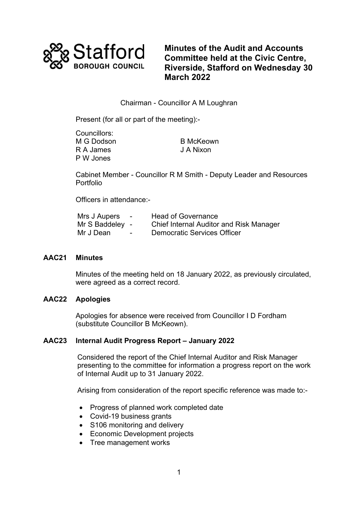

**Minutes of the Audit and Accounts Committee held at the Civic Centre, Riverside, Stafford on Wednesday 30 March 2022**

# Chairman - Councillor A M Loughran

Present (for all or part of the meeting):-

| Councillors: |                  |
|--------------|------------------|
| M G Dodson   | <b>B</b> McKeown |
| R A James    | J A Nixon        |
| P W Jones    |                  |

Cabinet Member - Councillor R M Smith - Deputy Leader and Resources Portfolio

Officers in attendance:-

| Mrs J Aupers    | $\overline{\phantom{0}}$ | <b>Head of Governance</b>                      |
|-----------------|--------------------------|------------------------------------------------|
| Mr S Baddeley - |                          | <b>Chief Internal Auditor and Risk Manager</b> |
| Mr J Dean       | $\overline{\phantom{0}}$ | <b>Democratic Services Officer</b>             |

## **AAC21 Minutes**

Minutes of the meeting held on 18 January 2022, as previously circulated, were agreed as a correct record.

## **AAC22 Apologies**

Apologies for absence were received from Councillor I D Fordham (substitute Councillor B McKeown).

### **AAC23 Internal Audit Progress Report – January 2022**

Considered the report of the Chief Internal Auditor and Risk Manager presenting to the committee for information a progress report on the work of Internal Audit up to 31 January 2022.

Arising from consideration of the report specific reference was made to:-

- Progress of planned work completed date
- Covid-19 business grants
- S106 monitoring and delivery
- Economic Development projects
- Tree management works